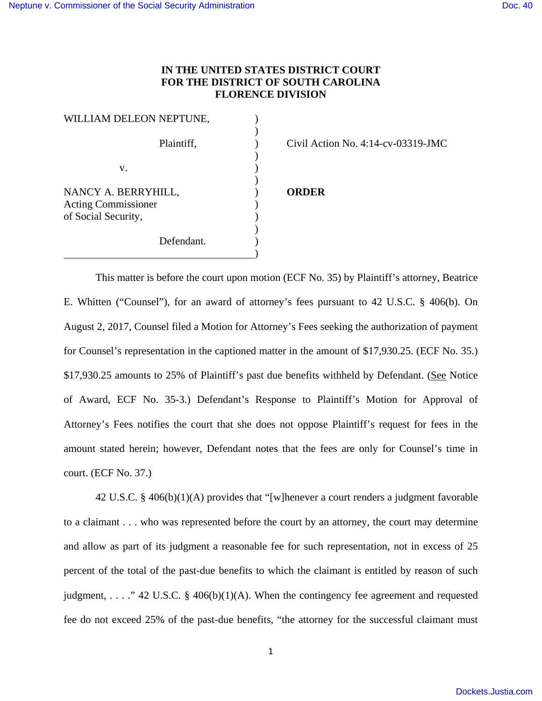## **IN THE UNITED STATES DISTRICT COURT FOR THE DISTRICT OF SOUTH CAROLINA FLORENCE DIVISION**

| WILLIAM DELEON NEPTUNE,                           |  |
|---------------------------------------------------|--|
| Plaintiff,                                        |  |
| v.                                                |  |
| NANCY A. BERRYHILL,<br><b>Acting Commissioner</b> |  |
| of Social Security,                               |  |
| Defendant.                                        |  |

Civil Action No.  $4:14$ -cv-03319-JMC

## NANCY A. BERRYHILL, ) **ORDER**

 This matter is before the court upon motion (ECF No. 35) by Plaintiff's attorney, Beatrice E. Whitten ("Counsel"), for an award of attorney's fees pursuant to 42 U.S.C. § 406(b). On August 2, 2017, Counsel filed a Motion for Attorney's Fees seeking the authorization of payment for Counsel's representation in the captioned matter in the amount of \$17,930.25. (ECF No. 35.) \$17,930.25 amounts to 25% of Plaintiff's past due benefits withheld by Defendant. (See Notice of Award, ECF No. 35-3.) Defendant's Response to Plaintiff's Motion for Approval of Attorney's Fees notifies the court that she does not oppose Plaintiff's request for fees in the amount stated herein; however, Defendant notes that the fees are only for Counsel's time in court. (ECF No. 37.)

42 U.S.C. § 406(b)(1)(A) provides that "[w]henever a court renders a judgment favorable to a claimant . . . who was represented before the court by an attorney, the court may determine and allow as part of its judgment a reasonable fee for such representation, not in excess of 25 percent of the total of the past-due benefits to which the claimant is entitled by reason of such judgment, ... ." 42 U.S.C. § 406(b)(1)(A). When the contingency fee agreement and requested fee do not exceed 25% of the past-due benefits, "the attorney for the successful claimant must